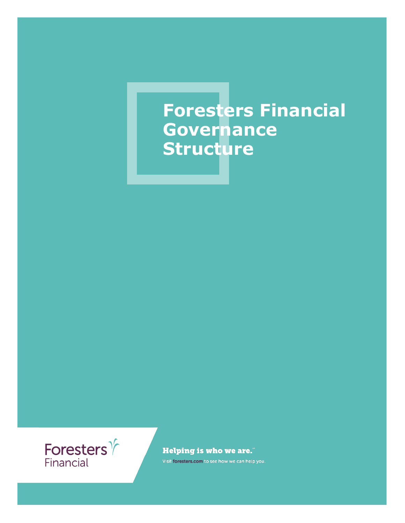# **Foresters Financial Governance Structure**



**Helping is who we are."** 

Visit foresters.com to see how we can help you.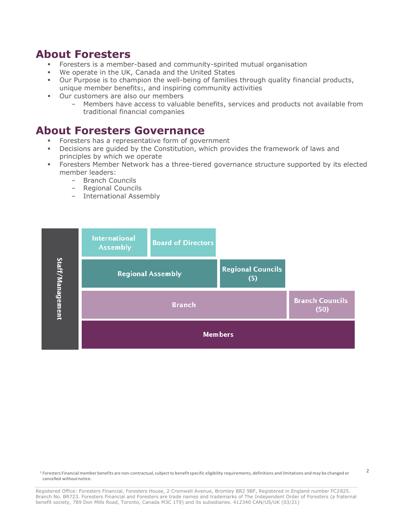#### **About Foresters**

- Foresters is a member-based and community-spirited mutual organisation
- We operate in the UK, Canada and the United States
- Our Purpose is to champion the well-being of families through quality financial products, unique member benefits1, and inspiring community activities
- Our customers are also our members
	- Members have access to valuable benefits, services and products not available from traditional financial companies

#### **About Foresters Governance**

- Foresters has a representative form of government
- Decisions are guided by the Constitution, which provides the framework of laws and principles by which we operate
- Foresters Member Network has a three-tiered governance structure supported by its elected member leaders:
	- Branch Councils
	- Regional Councils
	- International Assembly



<sup>1</sup> Foresters Financial member benefits are non-contractual, subject to benefit specific eligibility requirements, definitions and limitations and may be changed or cancelled withoutnotice.

 $\overline{2}$